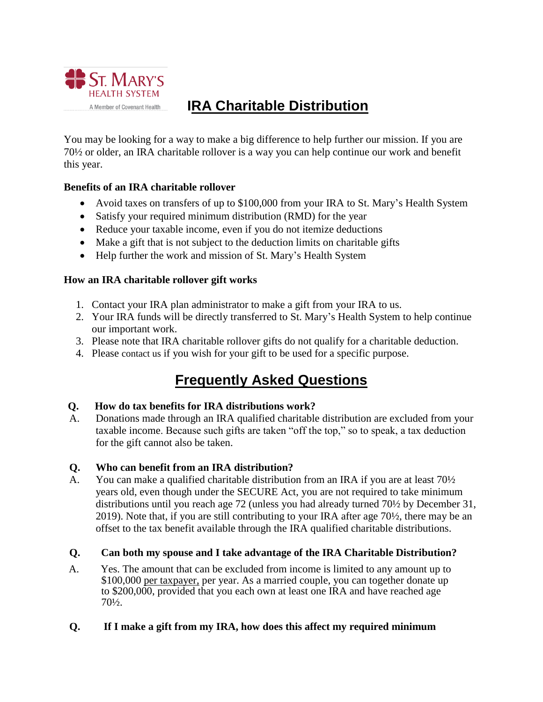

# **IRA Charitable Distribution**

You may be looking for a way to make a big difference to help further our mission. If you are 70½ or older, an IRA charitable rollover is a way you can help continue our work and benefit this year.

#### **Benefits of an IRA charitable rollover**

- Avoid taxes on transfers of up to \$100,000 from your IRA to St. Mary's Health System
- Satisfy your required minimum distribution (RMD) for the year
- Reduce your taxable income, even if you do not itemize deductions
- Make a gift that is not subject to the deduction limits on charitable gifts
- Help further the work and mission of St. Mary's Health System

#### **How an IRA charitable rollover gift works**

- 1. Contact your IRA plan administrator to make a gift from your IRA to us.
- 2. Your IRA funds will be directly transferred to St. Mary's Health System to help continue our important work.
- 3. Please note that IRA charitable rollover gifts do not qualify for a charitable deduction.
- 4. Please [contact us](https://intermountainlegacy.org/?pageID=21) if you wish for your gift to be used for a specific purpose.

## **Frequently Asked Questions**

#### **Q. How do tax benefits for IRA distributions work?**

A. Donations made through an IRA qualified charitable distribution are excluded from your taxable income. Because such gifts are taken "off the top," so to speak, a tax deduction for the gift cannot also be taken.

## **Q. Who can benefit from an IRA distribution?**

A. You can make a qualified charitable distribution from an IRA if you are at least 70½ years old, even though under the SECURE Act, you are not required to take minimum distributions until you reach age 72 (unless you had already turned 70½ by December 31, 2019). Note that, if you are still contributing to your IRA after age 70½, there may be an offset to the tax benefit available through the IRA qualified charitable distributions.

## **Q. Can both my spouse and I take advantage of the IRA Charitable Distribution?**

A. Yes. The amount that can be excluded from income is limited to any amount up to \$100,000 per taxpayer, per year. As a married couple, you can together donate up to \$200,000, provided that you each own at least one IRA and have reached age 70½.

## **Q. If I make a gift from my IRA, how does this affect my required minimum**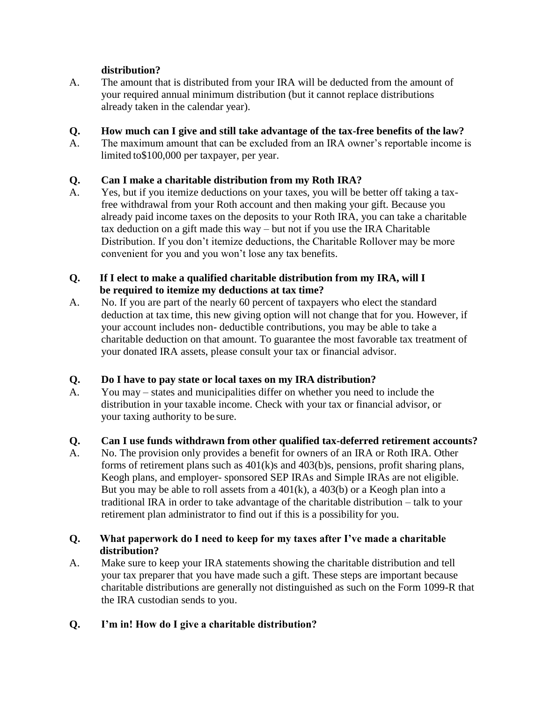#### **distribution?**

A. The amount that is distributed from your IRA will be deducted from the amount of your required annual minimum distribution (but it cannot replace distributions already taken in the calendar year).

#### **Q. How much can I give and still take advantage of the tax-free benefits of the law?**

A. The maximum amount that can be excluded from an IRA owner's reportable income is limited to\$100,000 per taxpayer, per year.

## **Q. Can I make a charitable distribution from my Roth IRA?**

A. Yes, but if you itemize deductions on your taxes, you will be better off taking a taxfree withdrawal from your Roth account and then making your gift. Because you already paid income taxes on the deposits to your Roth IRA, you can take a charitable tax deduction on a gift made this way – but not if you use the IRA Charitable Distribution. If you don't itemize deductions, the Charitable Rollover may be more convenient for you and you won't lose any tax benefits.

#### **Q. If I elect to make a qualified charitable distribution from my IRA, will I be required to itemize my deductions at tax time?**

A. No. If you are part of the nearly 60 percent of taxpayers who elect the standard deduction at tax time, this new giving option will not change that for you. However, if your account includes non- deductible contributions, you may be able to take a charitable deduction on that amount. To guarantee the most favorable tax treatment of your donated IRA assets, please consult your tax or financial advisor.

## **Q. Do I have to pay state or local taxes on my IRA distribution?**

A. You may – states and municipalities differ on whether you need to include the distribution in your taxable income. Check with your tax or financial advisor, or your taxing authority to be sure.

## **Q. Can I use funds withdrawn from other qualified tax-deferred retirement accounts?**

A. No. The provision only provides a benefit for owners of an IRA or Roth IRA. Other forms of retirement plans such as 401(k)s and 403(b)s, pensions, profit sharing plans, Keogh plans, and employer- sponsored SEP IRAs and Simple IRAs are not eligible. But you may be able to roll assets from a  $401(k)$ , a  $403(b)$  or a Keogh plan into a traditional IRA in order to take advantage of the charitable distribution – talk to your retirement plan administrator to find out if this is a possibility for you.

## **Q. What paperwork do I need to keep for my taxes after I've made a charitable distribution?**

A. Make sure to keep your IRA statements showing the charitable distribution and tell your tax preparer that you have made such a gift. These steps are important because charitable distributions are generally not distinguished as such on the Form 1099-R that the IRA custodian sends to you.

## **Q. I'm in! How do I give a charitable distribution?**